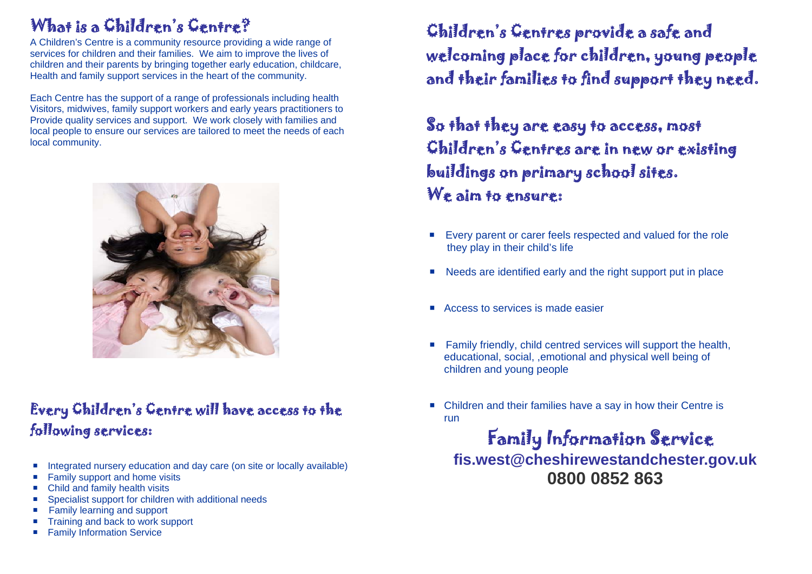## What is a Children's Centre?

A Children's Centre is a community resource providing a wide range of services for children and their families. We aim to improve the lives of children and their parents by bringing together early education, childcare, Health and family support services in the heart of the community.

Each Centre has the support of a range of professionals including health Visitors, midwives, family support workers and early years practitioners to Provide quality services and support. We work closely with families and local people to ensure our services are tailored to meet the needs of each local community.



### Every Children's Centre will have access to the following services:

- $\mathcal{L}_{\mathcal{A}}$ Integrated nursery education and day care (on site or locally available)
- Family support and home visits
- Child and family health visits
- Specialist support for children with additional needs
- Family learning and support
- Training and back to work support
- **Family Information Service**

Children's Centres provide a safe and welcoming place for children, young people and their families to find support they need.

So that they are easy to access, most Children's Centres are in new or existing buildings on primary school sites. We aim to ensure:

- Г Every parent or carer feels respected and valued for the role they play in their child's life
- Needs are identified early and the right support put in place
- Access to services is made easier
- Family friendly, child centred services will support the health, educational, social, ,emotional and physical well being of children and young people
- Children and their families have a say in how their Centre is run

### Family Information Service **fis.west@cheshirewestandchester.gov.uk 0800 0852 863**